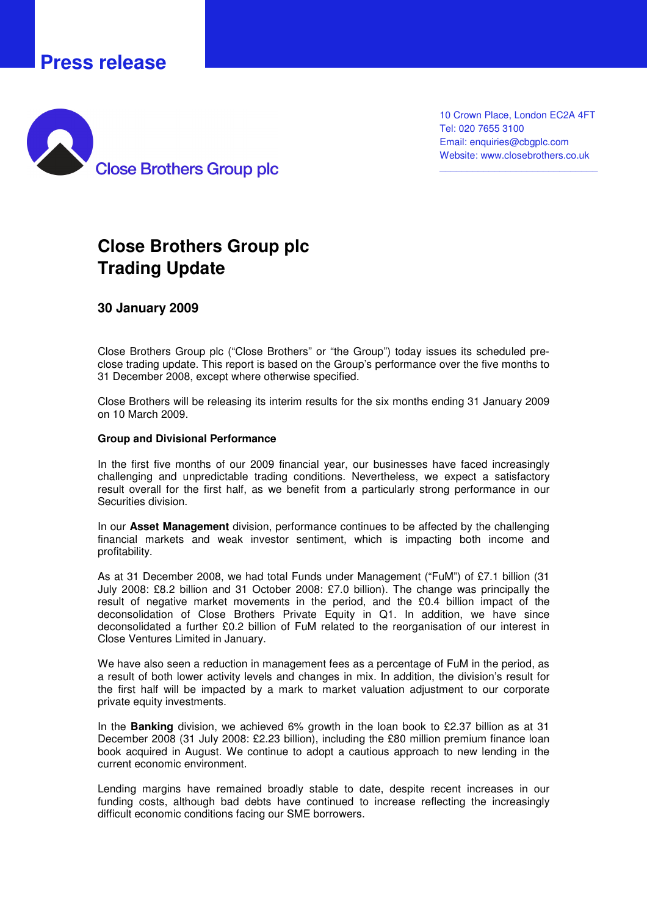## **Press release**



10 Crown Place, London EC2A 4FT Tel: 020 7655 3100 Email: enquiries@cbgplc.com Website: www.closebrothers.co.uk

\_\_\_\_\_\_\_\_\_\_\_\_\_\_\_\_\_\_\_\_\_\_\_\_\_\_\_\_\_

# **Close Brothers Group plc Trading Update**

### **30 January 2009**

Close Brothers Group plc ("Close Brothers" or "the Group") today issues its scheduled preclose trading update. This report is based on the Group's performance over the five months to 31 December 2008, except where otherwise specified.

Close Brothers will be releasing its interim results for the six months ending 31 January 2009 on 10 March 2009.

#### **Group and Divisional Performance**

In the first five months of our 2009 financial year, our businesses have faced increasingly challenging and unpredictable trading conditions. Nevertheless, we expect a satisfactory result overall for the first half, as we benefit from a particularly strong performance in our Securities division.

In our **Asset Management** division, performance continues to be affected by the challenging financial markets and weak investor sentiment, which is impacting both income and profitability.

As at 31 December 2008, we had total Funds under Management ("FuM") of £7.1 billion (31 July 2008: £8.2 billion and 31 October 2008: £7.0 billion). The change was principally the result of negative market movements in the period, and the £0.4 billion impact of the deconsolidation of Close Brothers Private Equity in Q1. In addition, we have since deconsolidated a further £0.2 billion of FuM related to the reorganisation of our interest in Close Ventures Limited in January.

We have also seen a reduction in management fees as a percentage of FuM in the period, as a result of both lower activity levels and changes in mix. In addition, the division's result for the first half will be impacted by a mark to market valuation adjustment to our corporate private equity investments.

In the **Banking** division, we achieved 6% growth in the loan book to £2.37 billion as at 31 December 2008 (31 July 2008: £2.23 billion), including the £80 million premium finance loan book acquired in August. We continue to adopt a cautious approach to new lending in the current economic environment.

Lending margins have remained broadly stable to date, despite recent increases in our funding costs, although bad debts have continued to increase reflecting the increasingly difficult economic conditions facing our SME borrowers.